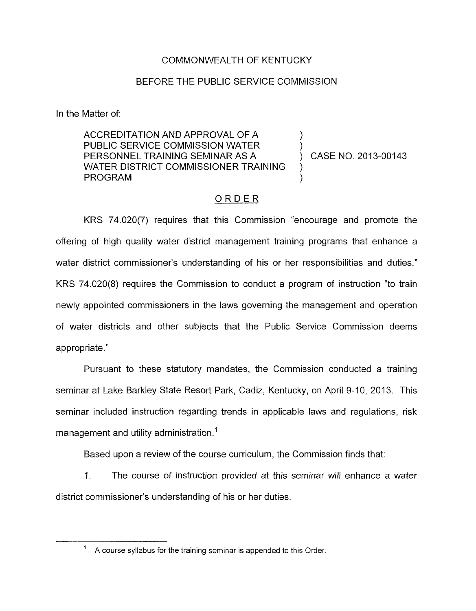#### COMMONWEALTH OF KENTUCKY

#### BEFORE THE PUBLIC SERVICE COMMISSION

In the Matter of:

ACCREDITATION AND APPROVAL OF A PUBLIC SERVICE COMMISSION WATER  $\overline{P}$  (PERSONNEL TRAINING SEMINAR AS A  $\overline{P}$  ) CASE NO. 2013-00143 PERSONNEL TRAINING SEMINAR AS A WATER DISTRICT COMMISSIONER TRAINING **PROGRAM** 

### ORDER

KRS 74.020(7) requires that this Commission "encourage and promote the offering of high quality water district management training programs that enhance a water district commissioner's understanding of his or her responsibilities and duties." KRS 74.020(8) requires the Commission to conduct a program of instruction "to train newly appointed commissioners in the laws governing the management and operation of water districts and other subjects that the Public Service Commission deems appropriate."

Pursuant to these statutory mandates, the Commission conducted a training seminar at Lake Barkley State Resort Park, Cadiz, Kentucky, on April 9-10, 2013. This seminar included instruction regarding trends in applicable laws and regulations, risk management and utility administration.<sup>1</sup>

Based upon a review of the course curriculum, the Commission finds that:

1. The course of instruction provided at this seminar will enhance a water district commissioner's understanding of his or her duties.

 $A$  course syllabus for the training seminar is appended to this Order.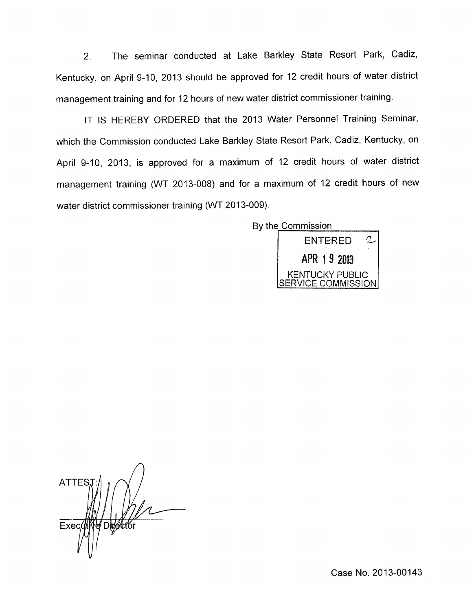2. The seminar conducted at Lake Barkley State Resort Park, Cadiz, Kentucky, on April 9-10, 2013 should be approved for 12 credit hours of water district management training and for 12 hours of new water district commissioner training.

IT IS HEREBY ORDERED that the 2013 Water Personnel Training Seminar, which the Commission conducted Lake Barkley State Resort Park, Cadiz, Kentucky, on April 9-10, 2013, is approved for a maximum of 12 credit hours of water district management training (WT 2013-008) and for a maximum of 12 credit hours of new water district commissioner training (WT 2013-009).



*A*  **ATTES**  $Exec$ Dwett or

Case No. 2013-00143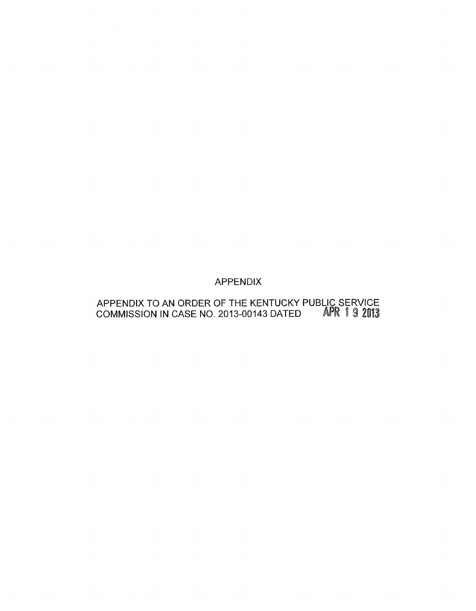## APPENDIX

#### APPENDIX TO AN ORDER OF THE KENTUCKY PUBLIC SERVICE COMMISSION IN CASE NO. 2013-00143 DATED *A*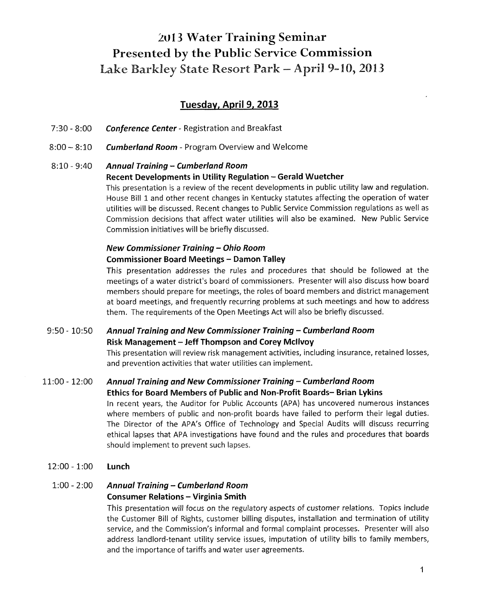# *20* **13 Water Training Seminar Presented by the Public Service Commission** Lake Barkley State Resort Park - April 9-10, 2013

### **Tuesdav, April 9,2013**

- *7:3O 8:OO Conference Center*  Registration and Breakfast
- *8:OO*  8:lO *Cumberland Room*  Program Overview and Welcome

#### 8:lQ .. 9:40 *Annual Training* - *Cumberland Room*  **Recent Developments in Utility Regulation - Gerald Wuetcher**

This presentation is a review of the recent developments in public utility law and regulation. House Bill 1 and other recent changes in Kentucky statutes affecting the operation of water utilities will be discussed. Recent changes to Public Service Commission regulations as well as Commission decisions that affect water utilities will also be examined. New Public Service Commission initiatives will be briefly discussed.

### *New Commissioner Training* - *Ohio Room*  **Commissioner Board Meetings** - **Damon Talley**

This presentation addresses the rules and procedures that should be followed at the meetings of a water district's board of commissioners. Presenter will also discuss how board members should prepare for meetings, the roles of board members and district management at board meetings, and frequently recurring problems at such meetings and how to address them. The requirements of the Open Meetings Act will also be briefly discussed.

## 9:50 - 10:50 *Annual Training and New Commissioner Training* - *Cumberland Room*  **Risk Management** - **Jeff Thompson and Corey Mcllvoy**

This presentation will review risk management activities, including insurance, retained losses, and prevention activities that water utilities can implement.

### 11:OO - 12:OO *Annual Training and New Commissioner Training* - *Cumberland Room*

#### **Ethics for Board Members of Public and Non-Profit Boards- Brian Lykins**

In recent years, the Auditor for Public Accounts (APA) has uncovered numerous instances where members of public and non-profit boards have failed to perform their legal duties. The Director of the APA's Office of Technology and Special Audits will discuss recurring ethical lapses that APA investigations have found and the rules and procedures that boards should implement to prevent such lapses.

12:OO - 1:00 **Lunch** 

### 1:00 - 2:OO *Annual Training* - *Cumberland Room*  **Consumer Relations** - **Virginia Smith**

This presentation will focus on the regulatory aspects of customer relations. Topics include the Customer Bill of Rights, customer billing disputes, installation and termination of utility service, and the Commission's informal and formal complaint processes. Presenter will also address landlord-tenant utility service issues, imputation of utility bills to family members, and the importance of tariffs and water user agreements.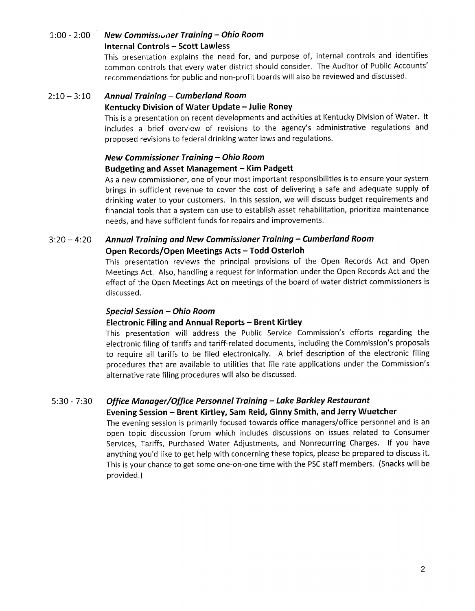#### l:oo - 2:oo *New Commisstvrier Training* - *Ohio Room*  **Internal Controls** - **Scott Lawless**

This presentation explains the need for, and purpose of, internal controls and identifies common controls that every water district should consider. The Auditor of Public Accounts' recommendations for public and non-profit boards will also be reviewed and discussed.

#### $2:10 - 3:10$ *Annual Training* - *Cumberland Room*

#### **Kentucky Division of Water Update -Julie Roney**

This is a presentation on recent developments and activities at Kentucky Division of Water. It includes a brief overview of revisions to the agency's administrative regulations and proposed revisions to federal drinking water laws and regulations.

#### *New Commissioner Training* - *Ohio Room*  **Budgeting and Asset Management** - **Kim Padgett**

As a new commissioner, one of your most important responsibilities is to ensure your system brings in sufficient revenue to cover the cost of delivering a safe and adequate supply of drinking water to your customers. In this session, we will discuss budget requirements and financial tools that a system can use to establish asset rehabilitation, prioritize maintenance needs, and have sufficient funds for repairs and improvements.

#### $3:20 - 4:20$ *Annual Training and New Commissioner Training* - *Cumberland Room*  **Open Records/Open Meetings Acts - Todd Osterloh**

This presentation reviews the principal provisions of the Open Records Act and Open Meetings Act. Also, handling a request for information under the Open Records Act and the effect of the Open Meetings Act on meetings of the board of water district commissioners is discussed.

#### *Special Session* - *Ohio Room*

#### **Electronic Filing and Annual Reports** - **Brent Kirtley**

This presentation will address the Public Service Commission's efforts regarding the electronic filing of tariffs and tariff-related documents, including the Commission's proposals to require all tariffs to be filed electronically. A brief description of the electronic filing procedures that are available to utilities that file rate applications under the Commission's alternative rate filing procedures will also be discussed.

#### *5:30* - *7:30 Office Manager/Office Personnel Training* - *Lake Barkley Restaurant*

#### **Evening Session** - **Brent Kirtley, Sam Reid, Ginny Smith, and Jerry Wuetcher**

The evening session is primarily focused towards office managers/office personnel and is an open topic discussion forum which includes discussions on issues related to Consumer Services, Tariffs, Purchased Water Adjustments, and Nonrecurring Charges. If you have anything you'd like to get help with concerning these topics, please be prepared to discuss it. This is your chance to get some one-on-one time with the PSC staff members. (Snacks will be provided.)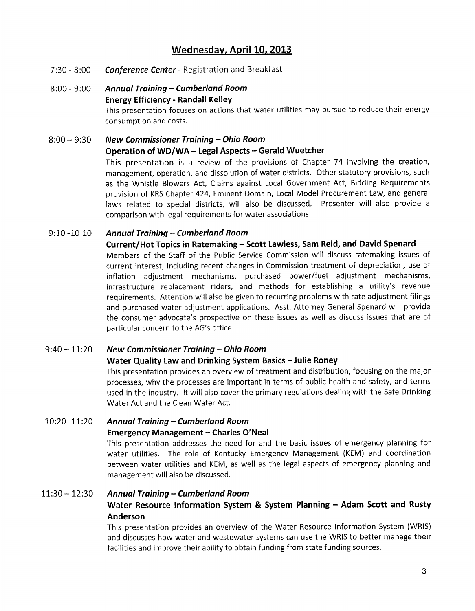## **Wednesdav, April 10,2013**

- *7:30 8:OO Conference Center*  Registration and Breakfast
- 8:OO **9:00** *Annual Training Cumberland Room*  **Energy Efficiency** - **Randall Kelley**  This presentation focuses on actions that water utilities may pursue to reduce their energy consumption and costs.

## 8:OO - **9:30** *New Commissioner Training* - *Ohio Room*  **Operation of WD/WA - Legal Aspects - Gerald Wuetcher**

This presentation is a review of the provisions of Chapter 74 involving the creation, management, operation, and dissolution of water districts. Other statutory provisions, such as the Whistle Blowers Act, Claims against Local Government Act, Bidding Requirements provision of KRS Chapter 424, Eminent Domain, Local Model Procurement Law, and general laws related to special districts, will also be discussed. Presenter will also provide a comparison with legal requirements for water associations.

#### 9:lO **-1O:lO** *Annual Training* - *Cumberland Room*

#### **Current/Hot Topics in Ratemaking** - **Scott Lawless, Sam Reid, and David Spenard**

Members of the Staff of the Public Service Commission will discuss ratemaking issues of current interest, including recent changes in Commission treatment of depreciation, use of inflation adjustment mechanisms, purchased power/fuel adjustment mechanisms, infrastructure replacement riders, and methods for establishing a utility's revenue requirements. Attention will also be given to recurring problems with rate adjustment filings and purchased water adjustment applications. Asst. Attorney General Spenard will provide the consumer advocate's prospective on these issues as well as discuss issues that are of particular concern to the AG's office.

#### 9:40 - **11:20** *New Commissioner Training* - *Ohio Room*

#### Water Quality Law and Drinking System Basics - Julie Roney

This presentation provides an overview of treatment and distribution, focusing on the major processes, why the processes are important in terms of public health and safety, and terms used in the industry. It will also cover the primary regulations dealing with the Safe Drinking Water Act and the Clean Water Act.

# **10:2Q -11:2O** *Annual Training* - *Cumberland Room*  **Emergency Management - Charles O'Neal**

This presentation addresses the need for and the basic issues of emergency planning for water utilities. The role of Kentucky Emergency Management (KEM) and coordination between water utilities and KEM, as well as the legal aspects of emergency planning and management will also be discussed.

## **11:30** - **12:30** *Annual Training* - *Cumberland Room*  **Water Resource Information System** & **System Planning** - **Adam Scott and Rusty Anderson**

This presentation provides an overview of the Water Resource information System (WRIS) and discusses how water and wastewater systems can use the WRIS to better manage their facilities and improve their ability to obtain funding from state funding sources.